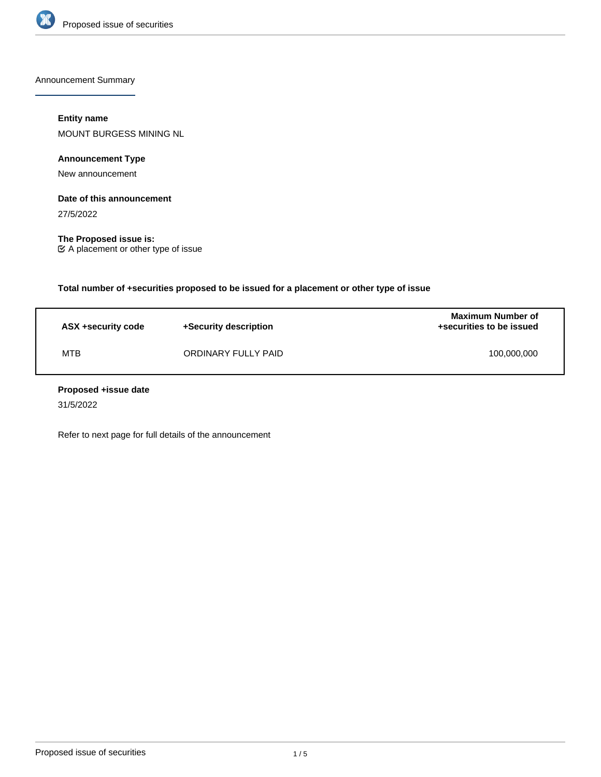

Announcement Summary

# **Entity name**

MOUNT BURGESS MINING NL

**Announcement Type**

New announcement

# **Date of this announcement**

27/5/2022

**The Proposed issue is:** A placement or other type of issue

**Total number of +securities proposed to be issued for a placement or other type of issue**

| ASX +security code | +Security description | <b>Maximum Number of</b><br>+securities to be issued |
|--------------------|-----------------------|------------------------------------------------------|
| <b>MTB</b>         | ORDINARY FULLY PAID   | 100,000,000                                          |

## **Proposed +issue date**

31/5/2022

Refer to next page for full details of the announcement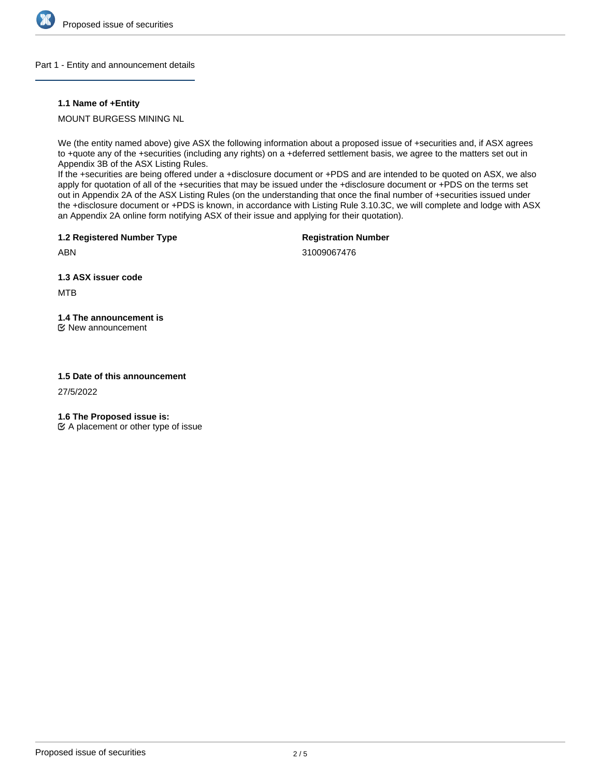

#### Part 1 - Entity and announcement details

## **1.1 Name of +Entity**

MOUNT BURGESS MINING NL

We (the entity named above) give ASX the following information about a proposed issue of +securities and, if ASX agrees to +quote any of the +securities (including any rights) on a +deferred settlement basis, we agree to the matters set out in Appendix 3B of the ASX Listing Rules.

If the +securities are being offered under a +disclosure document or +PDS and are intended to be quoted on ASX, we also apply for quotation of all of the +securities that may be issued under the +disclosure document or +PDS on the terms set out in Appendix 2A of the ASX Listing Rules (on the understanding that once the final number of +securities issued under the +disclosure document or +PDS is known, in accordance with Listing Rule 3.10.3C, we will complete and lodge with ASX an Appendix 2A online form notifying ASX of their issue and applying for their quotation).

**1.2 Registered Number Type**

**Registration Number**

ABN

31009067476

**1.3 ASX issuer code**

MTB

# **1.4 The announcement is**

New announcement

## **1.5 Date of this announcement**

27/5/2022

**1.6 The Proposed issue is:**

 $\mathfrak{C}$  A placement or other type of issue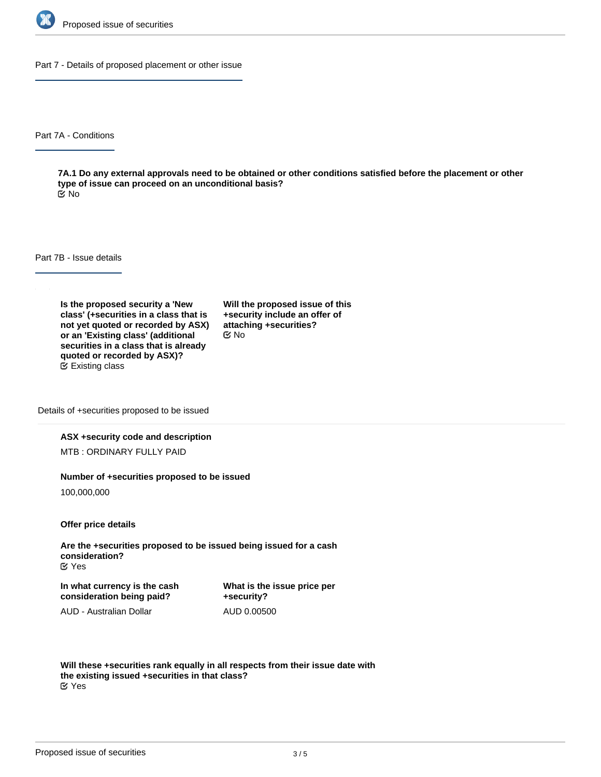

Part 7 - Details of proposed placement or other issue

Part 7A - Conditions

**7A.1 Do any external approvals need to be obtained or other conditions satisfied before the placement or other type of issue can proceed on an unconditional basis?** No

Part 7B - Issue details

**Is the proposed security a 'New class' (+securities in a class that is not yet quoted or recorded by ASX) or an 'Existing class' (additional securities in a class that is already quoted or recorded by ASX)?** Existing class

**Will the proposed issue of this +security include an offer of attaching +securities?** No

Details of +securities proposed to be issued

#### **ASX +security code and description**

MTB : ORDINARY FULLY PAID

#### **Number of +securities proposed to be issued**

100,000,000

**Offer price details**

**Are the +securities proposed to be issued being issued for a cash consideration?** Yes

**In what currency is the cash consideration being paid?**

**What is the issue price per +security?** AUD 0.00500

AUD - Australian Dollar

**Will these +securities rank equally in all respects from their issue date with the existing issued +securities in that class?** Yes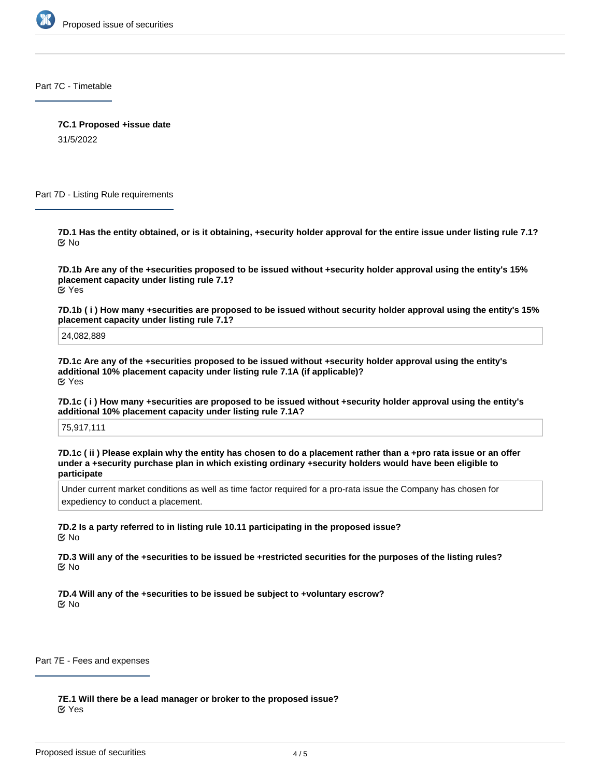

Part 7C - Timetable

**7C.1 Proposed +issue date**

31/5/2022

Part 7D - Listing Rule requirements

**7D.1 Has the entity obtained, or is it obtaining, +security holder approval for the entire issue under listing rule 7.1?** No

**7D.1b Are any of the +securities proposed to be issued without +security holder approval using the entity's 15% placement capacity under listing rule 7.1?** Yes

**7D.1b ( i ) How many +securities are proposed to be issued without security holder approval using the entity's 15% placement capacity under listing rule 7.1?**

24,082,889

**7D.1c Are any of the +securities proposed to be issued without +security holder approval using the entity's additional 10% placement capacity under listing rule 7.1A (if applicable)?** Yes

**7D.1c ( i ) How many +securities are proposed to be issued without +security holder approval using the entity's additional 10% placement capacity under listing rule 7.1A?**

75,917,111

**7D.1c ( ii ) Please explain why the entity has chosen to do a placement rather than a +pro rata issue or an offer under a +security purchase plan in which existing ordinary +security holders would have been eligible to participate**

Under current market conditions as well as time factor required for a pro-rata issue the Company has chosen for expediency to conduct a placement.

**7D.2 Is a party referred to in listing rule 10.11 participating in the proposed issue?** No

**7D.3 Will any of the +securities to be issued be +restricted securities for the purposes of the listing rules?** No

**7D.4 Will any of the +securities to be issued be subject to +voluntary escrow?** No

Part 7E - Fees and expenses

**7E.1 Will there be a lead manager or broker to the proposed issue?** Yes